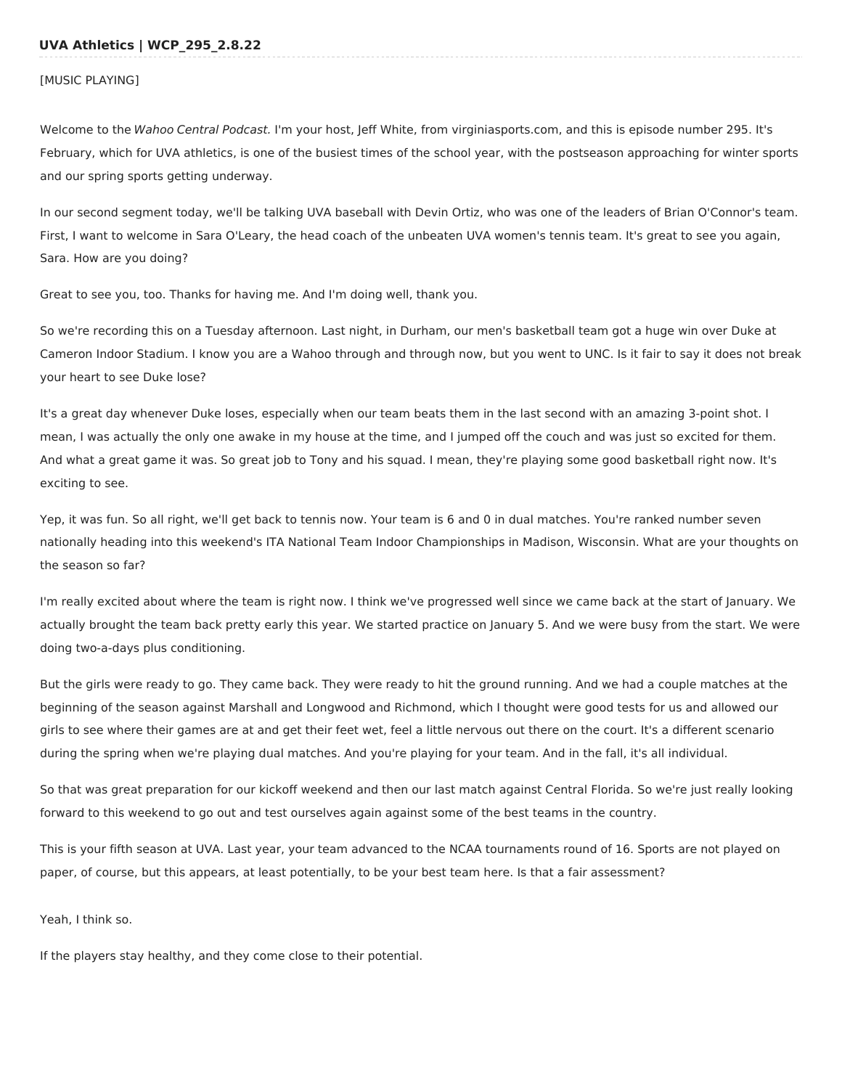### [MUSIC PLAYING]

Welcome to the Wahoo Central Podcast. I'm your host, Jeff White, from virginiasports.com, and this is episode number 295. It's February, which for UVA athletics, is one of the busiest times of the school year, with the postseason approaching for winter sports and our spring sports getting underway.

In our second segment today, we'll be talking UVA baseball with Devin Ortiz, who was one of the leaders of Brian O'Connor's team. First, I want to welcome in Sara O'Leary, the head coach of the unbeaten UVA women's tennis team. It's great to see you again, Sara. How are you doing?

Great to see you, too. Thanks for having me. And I'm doing well, thank you.

So we're recording this on a Tuesday afternoon. Last night, in Durham, our men's basketball team got a huge win over Duke at Cameron Indoor Stadium. I know you are a Wahoo through and through now, but you went to UNC. Is it fair to say it does not break your heart to see Duke lose?

It's a great day whenever Duke loses, especially when our team beats them in the last second with an amazing 3-point shot. I mean, I was actually the only one awake in my house at the time, and I jumped off the couch and was just so excited for them. And what a great game it was. So great job to Tony and his squad. I mean, they're playing some good basketball right now. It's exciting to see.

Yep, it was fun. So all right, we'll get back to tennis now. Your team is 6 and 0 in dual matches. You're ranked number seven nationally heading into this weekend's ITA National Team Indoor Championships in Madison, Wisconsin. What are your thoughts on the season so far?

I'm really excited about where the team is right now. I think we've progressed well since we came back at the start of January. We actually brought the team back pretty early this year. We started practice on January 5. And we were busy from the start. We were doing two-a-days plus conditioning.

But the girls were ready to go. They came back. They were ready to hit the ground running. And we had a couple matches at the beginning of the season against Marshall and Longwood and Richmond, which I thought were good tests for us and allowed our girls to see where their games are at and get their feet wet, feel a little nervous out there on the court. It's a different scenario during the spring when we're playing dual matches. And you're playing for your team. And in the fall, it's all individual.

So that was great preparation for our kickoff weekend and then our last match against Central Florida. So we're just really looking forward to this weekend to go out and test ourselves again against some of the best teams in the country.

This is your fifth season at UVA. Last year, your team advanced to the NCAA tournaments round of 16. Sports are not played on paper, of course, but this appears, at least potentially, to be your best team here. Is that a fair assessment?

Yeah, I think so.

If the players stay healthy, and they come close to their potential.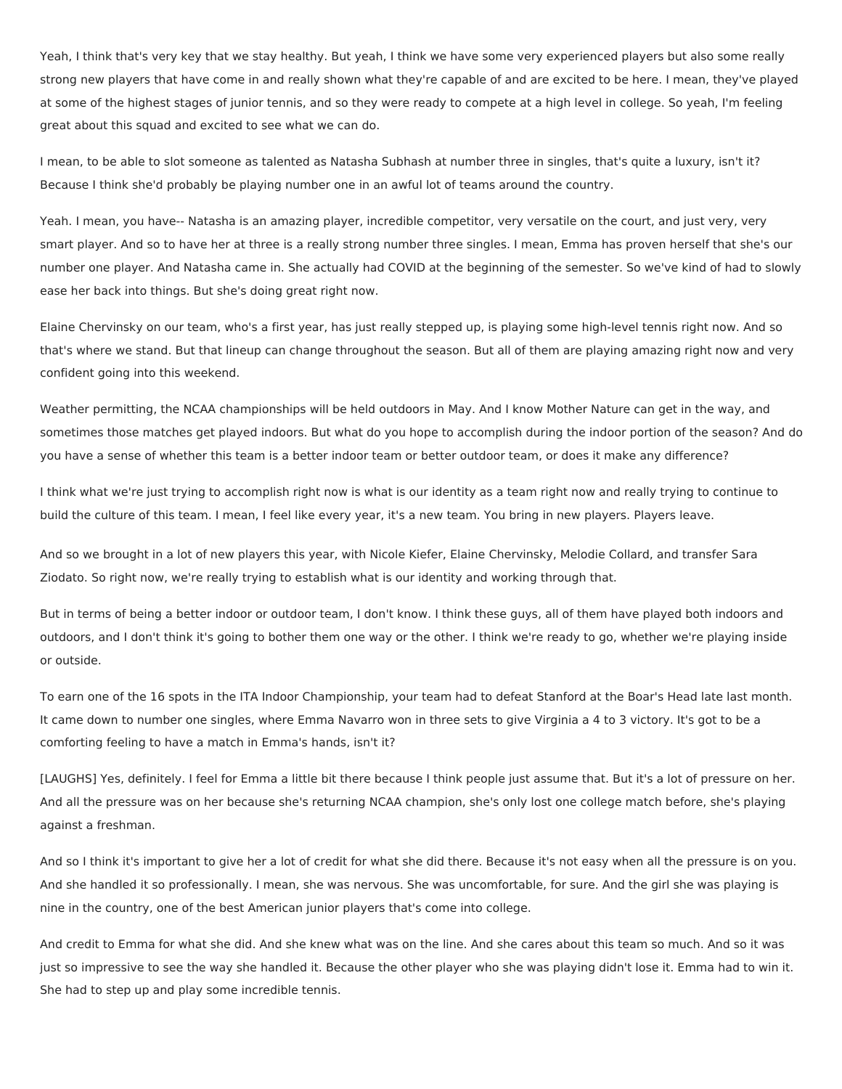Yeah, I think that's very key that we stay healthy. But yeah, I think we have some very experienced players but also some really strong new players that have come in and really shown what they're capable of and are excited to be here. I mean, they've played at some of the highest stages of junior tennis, and so they were ready to compete at a high level in college. So yeah, I'm feeling great about this squad and excited to see what we can do.

I mean, to be able to slot someone as talented as Natasha Subhash at number three in singles, that's quite a luxury, isn't it? Because I think she'd probably be playing number one in an awful lot of teams around the country.

Yeah. I mean, you have-- Natasha is an amazing player, incredible competitor, very versatile on the court, and just very, very smart player. And so to have her at three is a really strong number three singles. I mean, Emma has proven herself that she's our number one player. And Natasha came in. She actually had COVID at the beginning of the semester. So we've kind of had to slowly ease her back into things. But she's doing great right now.

Elaine Chervinsky on our team, who's a first year, has just really stepped up, is playing some high-level tennis right now. And so that's where we stand. But that lineup can change throughout the season. But all of them are playing amazing right now and very confident going into this weekend.

Weather permitting, the NCAA championships will be held outdoors in May. And I know Mother Nature can get in the way, and sometimes those matches get played indoors. But what do you hope to accomplish during the indoor portion of the season? And do you have a sense of whether this team is a better indoor team or better outdoor team, or does it make any difference?

I think what we're just trying to accomplish right now is what is our identity as a team right now and really trying to continue to build the culture of this team. I mean, I feel like every year, it's a new team. You bring in new players. Players leave.

And so we brought in a lot of new players this year, with Nicole Kiefer, Elaine Chervinsky, Melodie Collard, and transfer Sara Ziodato. So right now, we're really trying to establish what is our identity and working through that.

But in terms of being a better indoor or outdoor team, I don't know. I think these guys, all of them have played both indoors and outdoors, and I don't think it's going to bother them one way or the other. I think we're ready to go, whether we're playing inside or outside.

To earn one of the 16 spots in the ITA Indoor Championship, your team had to defeat Stanford at the Boar's Head late last month. It came down to number one singles, where Emma Navarro won in three sets to give Virginia a 4 to 3 victory. It's got to be a comforting feeling to have a match in Emma's hands, isn't it?

[LAUGHS] Yes, definitely. I feel for Emma a little bit there because I think people just assume that. But it's a lot of pressure on her. And all the pressure was on her because she's returning NCAA champion, she's only lost one college match before, she's playing against a freshman.

And so I think it's important to give her a lot of credit for what she did there. Because it's not easy when all the pressure is on you. And she handled it so professionally. I mean, she was nervous. She was uncomfortable, for sure. And the girl she was playing is nine in the country, one of the best American junior players that's come into college.

And credit to Emma for what she did. And she knew what was on the line. And she cares about this team so much. And so it was just so impressive to see the way she handled it. Because the other player who she was playing didn't lose it. Emma had to win it. She had to step up and play some incredible tennis.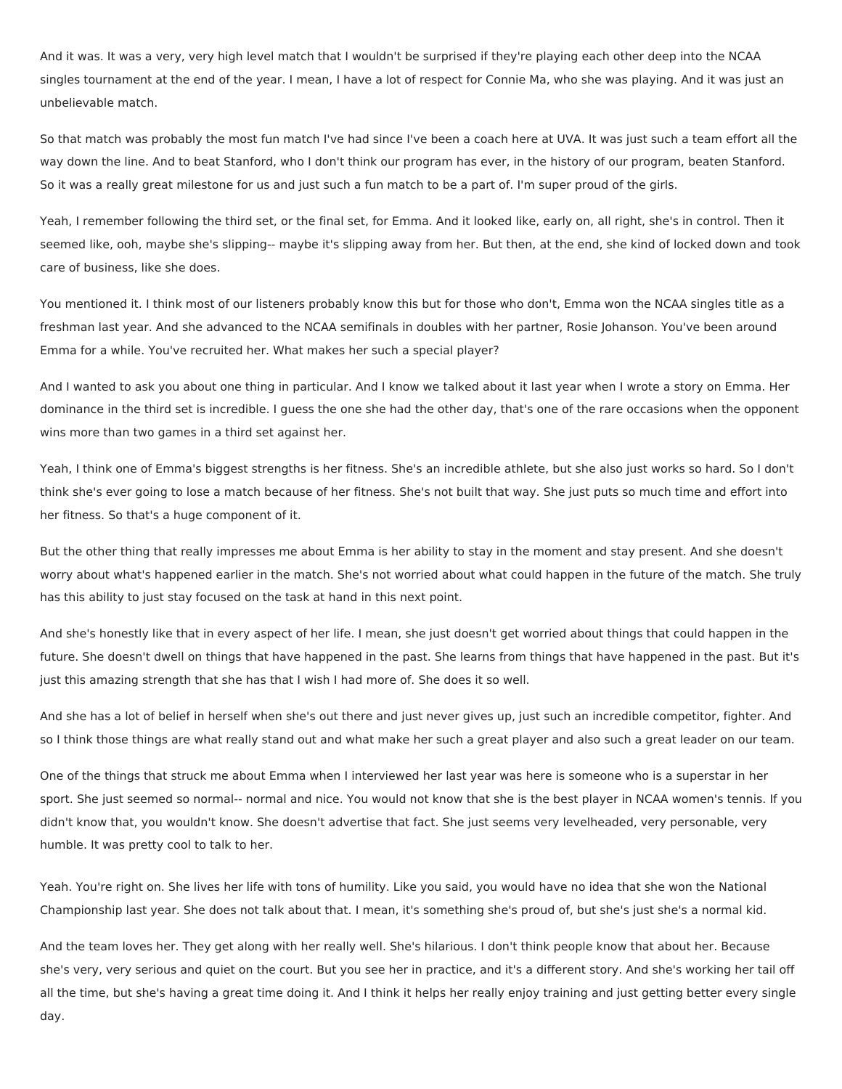And it was. It was a very, very high level match that I wouldn't be surprised if they're playing each other deep into the NCAA singles tournament at the end of the year. I mean, I have a lot of respect for Connie Ma, who she was playing. And it was just an unbelievable match.

So that match was probably the most fun match I've had since I've been a coach here at UVA. It was just such a team effort all the way down the line. And to beat Stanford, who I don't think our program has ever, in the history of our program, beaten Stanford. So it was a really great milestone for us and just such a fun match to be a part of. I'm super proud of the girls.

Yeah, I remember following the third set, or the final set, for Emma. And it looked like, early on, all right, she's in control. Then it seemed like, ooh, maybe she's slipping-- maybe it's slipping away from her. But then, at the end, she kind of locked down and took care of business, like she does.

You mentioned it. I think most of our listeners probably know this but for those who don't, Emma won the NCAA singles title as a freshman last year. And she advanced to the NCAA semifinals in doubles with her partner, Rosie Johanson. You've been around Emma for a while. You've recruited her. What makes her such a special player?

And I wanted to ask you about one thing in particular. And I know we talked about it last year when I wrote a story on Emma. Her dominance in the third set is incredible. I guess the one she had the other day, that's one of the rare occasions when the opponent wins more than two games in a third set against her.

Yeah, I think one of Emma's biggest strengths is her fitness. She's an incredible athlete, but she also just works so hard. So I don't think she's ever going to lose a match because of her fitness. She's not built that way. She just puts so much time and effort into her fitness. So that's a huge component of it.

But the other thing that really impresses me about Emma is her ability to stay in the moment and stay present. And she doesn't worry about what's happened earlier in the match. She's not worried about what could happen in the future of the match. She truly has this ability to just stay focused on the task at hand in this next point.

And she's honestly like that in every aspect of her life. I mean, she just doesn't get worried about things that could happen in the future. She doesn't dwell on things that have happened in the past. She learns from things that have happened in the past. But it's just this amazing strength that she has that I wish I had more of. She does it so well.

And she has a lot of belief in herself when she's out there and just never gives up, just such an incredible competitor, fighter. And so I think those things are what really stand out and what make her such a great player and also such a great leader on our team.

One of the things that struck me about Emma when I interviewed her last year was here is someone who is a superstar in her sport. She just seemed so normal-- normal and nice. You would not know that she is the best player in NCAA women's tennis. If you didn't know that, you wouldn't know. She doesn't advertise that fact. She just seems very levelheaded, very personable, very humble. It was pretty cool to talk to her.

Yeah. You're right on. She lives her life with tons of humility. Like you said, you would have no idea that she won the National Championship last year. She does not talk about that. I mean, it's something she's proud of, but she's just she's a normal kid.

And the team loves her. They get along with her really well. She's hilarious. I don't think people know that about her. Because she's very, very serious and quiet on the court. But you see her in practice, and it's a different story. And she's working her tail off all the time, but she's having a great time doing it. And I think it helps her really enjoy training and just getting better every single day.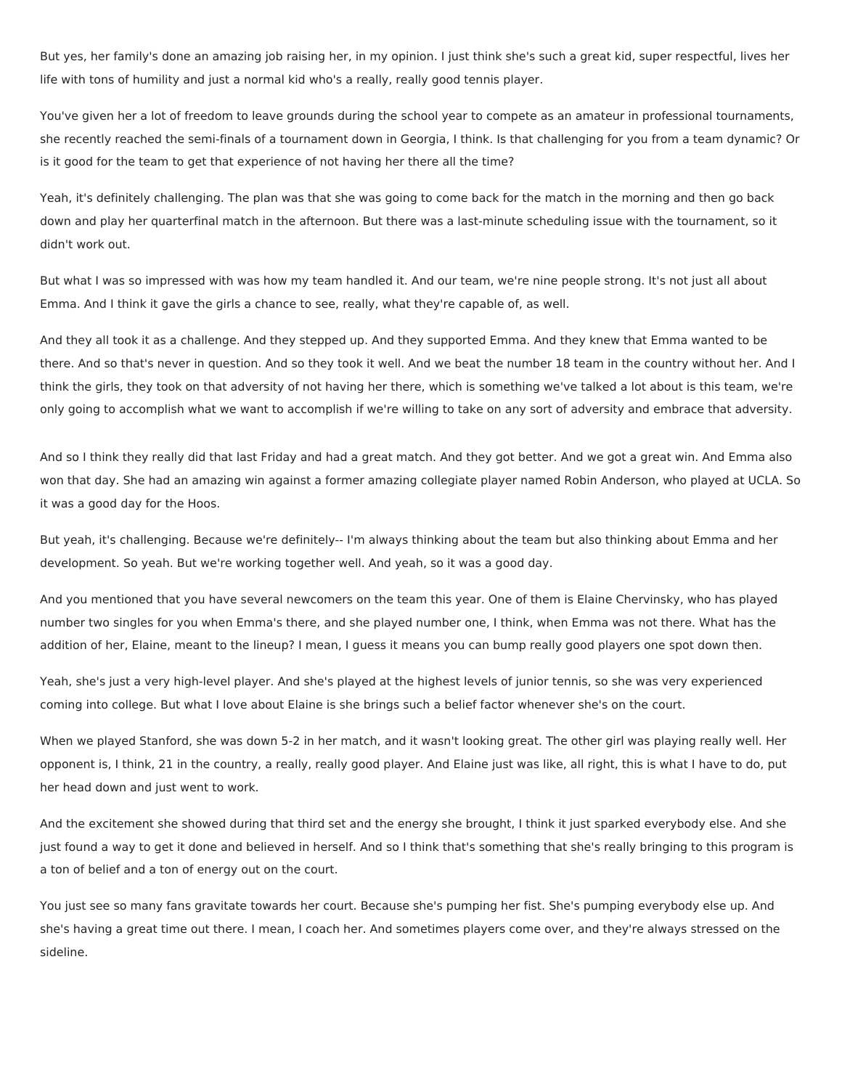But yes, her family's done an amazing job raising her, in my opinion. I just think she's such a great kid, super respectful, lives her life with tons of humility and just a normal kid who's a really, really good tennis player.

You've given her a lot of freedom to leave grounds during the school year to compete as an amateur in professional tournaments, she recently reached the semi-finals of a tournament down in Georgia, I think. Is that challenging for you from a team dynamic? Or is it good for the team to get that experience of not having her there all the time?

Yeah, it's definitely challenging. The plan was that she was going to come back for the match in the morning and then go back down and play her quarterfinal match in the afternoon. But there was a last-minute scheduling issue with the tournament, so it didn't work out.

But what I was so impressed with was how my team handled it. And our team, we're nine people strong. It's not just all about Emma. And I think it gave the girls a chance to see, really, what they're capable of, as well.

And they all took it as a challenge. And they stepped up. And they supported Emma. And they knew that Emma wanted to be there. And so that's never in question. And so they took it well. And we beat the number 18 team in the country without her. And I think the girls, they took on that adversity of not having her there, which is something we've talked a lot about is this team, we're only going to accomplish what we want to accomplish if we're willing to take on any sort of adversity and embrace that adversity.

And so I think they really did that last Friday and had a great match. And they got better. And we got a great win. And Emma also won that day. She had an amazing win against a former amazing collegiate player named Robin Anderson, who played at UCLA. So it was a good day for the Hoos.

But yeah, it's challenging. Because we're definitely-- I'm always thinking about the team but also thinking about Emma and her development. So yeah. But we're working together well. And yeah, so it was a good day.

And you mentioned that you have several newcomers on the team this year. One of them is Elaine Chervinsky, who has played number two singles for you when Emma's there, and she played number one, I think, when Emma was not there. What has the addition of her, Elaine, meant to the lineup? I mean, I guess it means you can bump really good players one spot down then.

Yeah, she's just a very high-level player. And she's played at the highest levels of junior tennis, so she was very experienced coming into college. But what I love about Elaine is she brings such a belief factor whenever she's on the court.

When we played Stanford, she was down 5-2 in her match, and it wasn't looking great. The other girl was playing really well. Her opponent is, I think, 21 in the country, a really, really good player. And Elaine just was like, all right, this is what I have to do, put her head down and just went to work.

And the excitement she showed during that third set and the energy she brought, I think it just sparked everybody else. And she just found a way to get it done and believed in herself. And so I think that's something that she's really bringing to this program is a ton of belief and a ton of energy out on the court.

You just see so many fans gravitate towards her court. Because she's pumping her fist. She's pumping everybody else up. And she's having a great time out there. I mean, I coach her. And sometimes players come over, and they're always stressed on the sideline.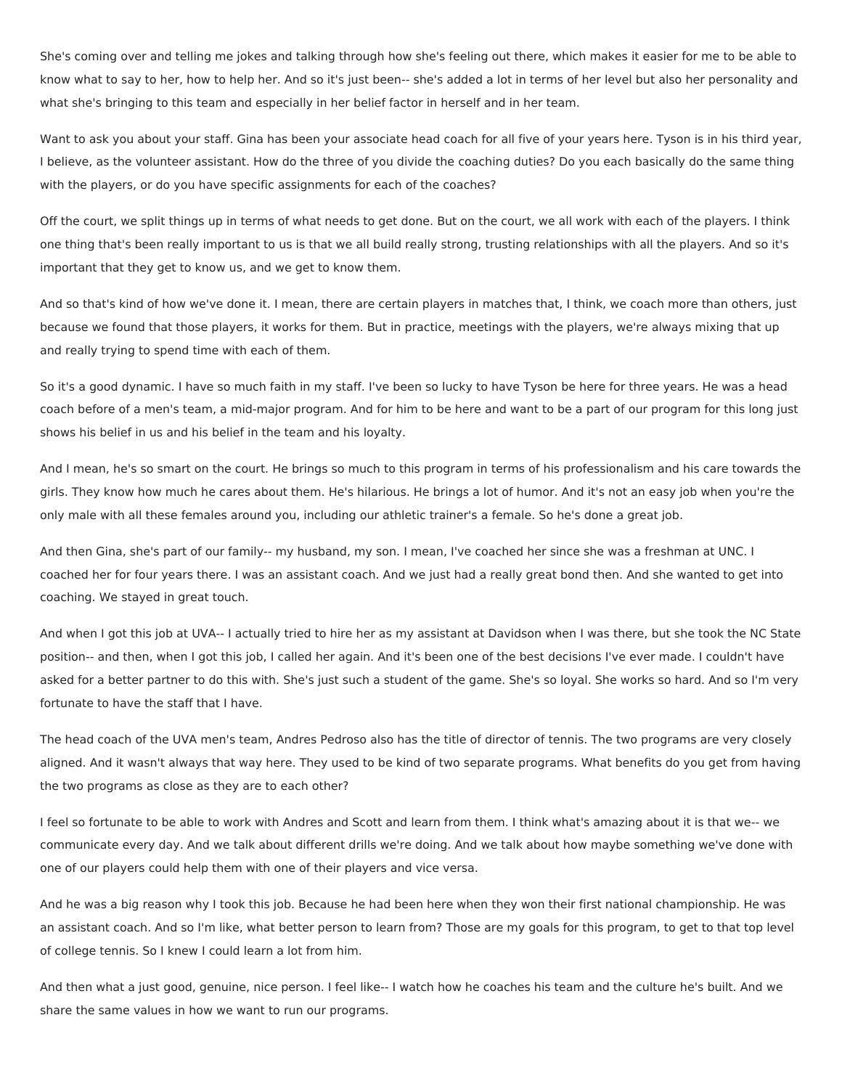She's coming over and telling me jokes and talking through how she's feeling out there, which makes it easier for me to be able to know what to say to her, how to help her. And so it's just been-- she's added a lot in terms of her level but also her personality and what she's bringing to this team and especially in her belief factor in herself and in her team.

Want to ask you about your staff. Gina has been your associate head coach for all five of your years here. Tyson is in his third year, I believe, as the volunteer assistant. How do the three of you divide the coaching duties? Do you each basically do the same thing with the players, or do you have specific assignments for each of the coaches?

Off the court, we split things up in terms of what needs to get done. But on the court, we all work with each of the players. I think one thing that's been really important to us is that we all build really strong, trusting relationships with all the players. And so it's important that they get to know us, and we get to know them.

And so that's kind of how we've done it. I mean, there are certain players in matches that, I think, we coach more than others, just because we found that those players, it works for them. But in practice, meetings with the players, we're always mixing that up and really trying to spend time with each of them.

So it's a good dynamic. I have so much faith in my staff. I've been so lucky to have Tyson be here for three years. He was a head coach before of a men's team, a mid-major program. And for him to be here and want to be a part of our program for this long just shows his belief in us and his belief in the team and his loyalty.

And I mean, he's so smart on the court. He brings so much to this program in terms of his professionalism and his care towards the girls. They know how much he cares about them. He's hilarious. He brings a lot of humor. And it's not an easy job when you're the only male with all these females around you, including our athletic trainer's a female. So he's done a great job.

And then Gina, she's part of our family-- my husband, my son. I mean, I've coached her since she was a freshman at UNC. I coached her for four years there. I was an assistant coach. And we just had a really great bond then. And she wanted to get into coaching. We stayed in great touch.

And when I got this job at UVA-- I actually tried to hire her as my assistant at Davidson when I was there, but she took the NC State position-- and then, when I got this job, I called her again. And it's been one of the best decisions I've ever made. I couldn't have asked for a better partner to do this with. She's just such a student of the game. She's so loyal. She works so hard. And so I'm very fortunate to have the staff that I have.

The head coach of the UVA men's team, Andres Pedroso also has the title of director of tennis. The two programs are very closely aligned. And it wasn't always that way here. They used to be kind of two separate programs. What benefits do you get from having the two programs as close as they are to each other?

I feel so fortunate to be able to work with Andres and Scott and learn from them. I think what's amazing about it is that we-- we communicate every day. And we talk about different drills we're doing. And we talk about how maybe something we've done with one of our players could help them with one of their players and vice versa.

And he was a big reason why I took this job. Because he had been here when they won their first national championship. He was an assistant coach. And so I'm like, what better person to learn from? Those are my goals for this program, to get to that top level of college tennis. So I knew I could learn a lot from him.

And then what a just good, genuine, nice person. I feel like-- I watch how he coaches his team and the culture he's built. And we share the same values in how we want to run our programs.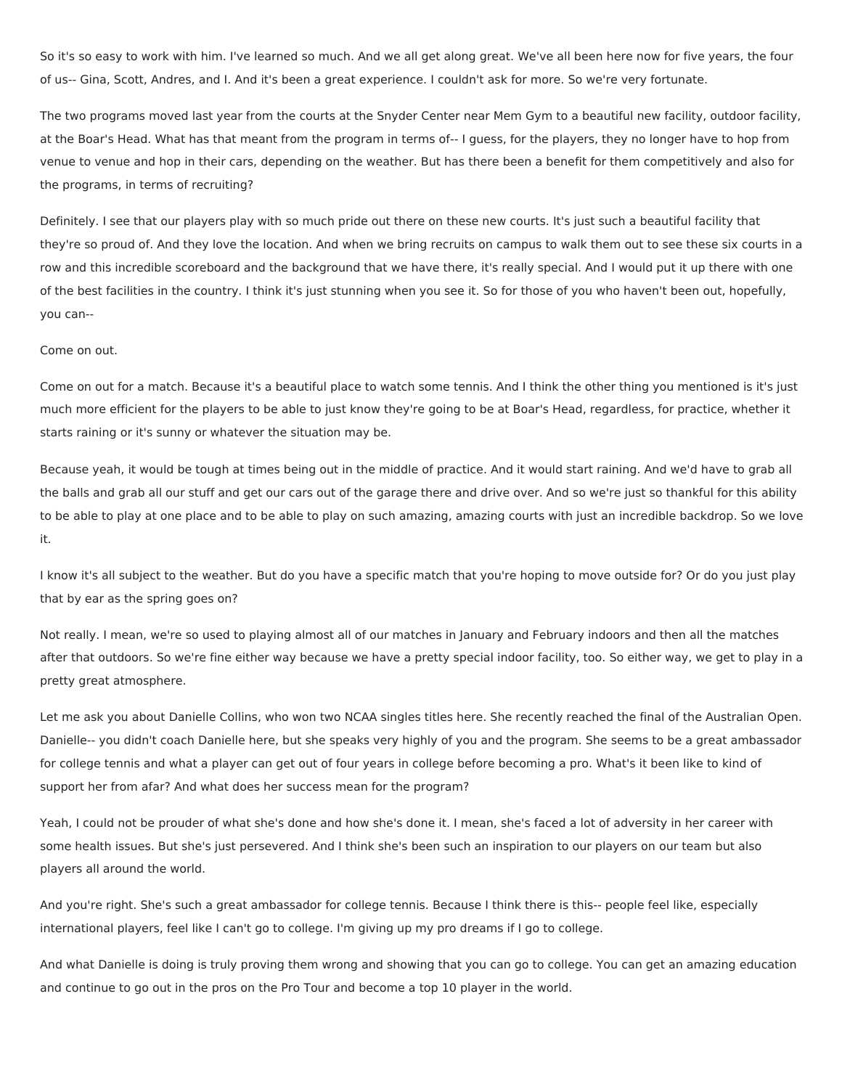So it's so easy to work with him. I've learned so much. And we all get along great. We've all been here now for five years, the four of us-- Gina, Scott, Andres, and I. And it's been a great experience. I couldn't ask for more. So we're very fortunate.

The two programs moved last year from the courts at the Snyder Center near Mem Gym to a beautiful new facility, outdoor facility, at the Boar's Head. What has that meant from the program in terms of-- I guess, for the players, they no longer have to hop from venue to venue and hop in their cars, depending on the weather. But has there been a benefit for them competitively and also for the programs, in terms of recruiting?

Definitely. I see that our players play with so much pride out there on these new courts. It's just such a beautiful facility that they're so proud of. And they love the location. And when we bring recruits on campus to walk them out to see these six courts in a row and this incredible scoreboard and the background that we have there, it's really special. And I would put it up there with one of the best facilities in the country. I think it's just stunning when you see it. So for those of you who haven't been out, hopefully, you can--

### Come on out.

Come on out for a match. Because it's a beautiful place to watch some tennis. And I think the other thing you mentioned is it's just much more efficient for the players to be able to just know they're going to be at Boar's Head, regardless, for practice, whether it starts raining or it's sunny or whatever the situation may be.

Because yeah, it would be tough at times being out in the middle of practice. And it would start raining. And we'd have to grab all the balls and grab all our stuff and get our cars out of the garage there and drive over. And so we're just so thankful for this ability to be able to play at one place and to be able to play on such amazing, amazing courts with just an incredible backdrop. So we love it.

I know it's all subject to the weather. But do you have a specific match that you're hoping to move outside for? Or do you just play that by ear as the spring goes on?

Not really. I mean, we're so used to playing almost all of our matches in January and February indoors and then all the matches after that outdoors. So we're fine either way because we have a pretty special indoor facility, too. So either way, we get to play in a pretty great atmosphere.

Let me ask you about Danielle Collins, who won two NCAA singles titles here. She recently reached the final of the Australian Open. Danielle-- you didn't coach Danielle here, but she speaks very highly of you and the program. She seems to be a great ambassador for college tennis and what a player can get out of four years in college before becoming a pro. What's it been like to kind of support her from afar? And what does her success mean for the program?

Yeah, I could not be prouder of what she's done and how she's done it. I mean, she's faced a lot of adversity in her career with some health issues. But she's just persevered. And I think she's been such an inspiration to our players on our team but also players all around the world.

And you're right. She's such a great ambassador for college tennis. Because I think there is this-- people feel like, especially international players, feel like I can't go to college. I'm giving up my pro dreams if I go to college.

And what Danielle is doing is truly proving them wrong and showing that you can go to college. You can get an amazing education and continue to go out in the pros on the Pro Tour and become a top 10 player in the world.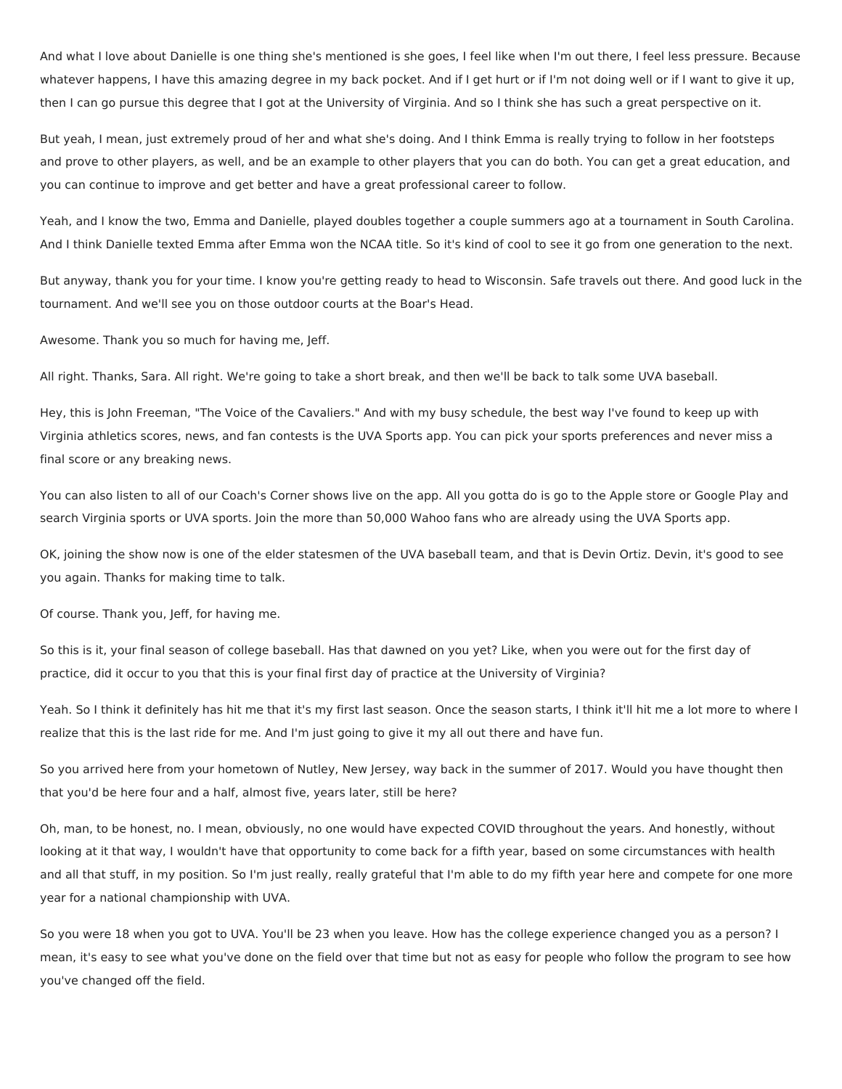And what I love about Danielle is one thing she's mentioned is she goes, I feel like when I'm out there, I feel less pressure. Because whatever happens, I have this amazing degree in my back pocket. And if I get hurt or if I'm not doing well or if I want to give it up, then I can go pursue this degree that I got at the University of Virginia. And so I think she has such a great perspective on it.

But yeah, I mean, just extremely proud of her and what she's doing. And I think Emma is really trying to follow in her footsteps and prove to other players, as well, and be an example to other players that you can do both. You can get a great education, and you can continue to improve and get better and have a great professional career to follow.

Yeah, and I know the two, Emma and Danielle, played doubles together a couple summers ago at a tournament in South Carolina. And I think Danielle texted Emma after Emma won the NCAA title. So it's kind of cool to see it go from one generation to the next.

But anyway, thank you for your time. I know you're getting ready to head to Wisconsin. Safe travels out there. And good luck in the tournament. And we'll see you on those outdoor courts at the Boar's Head.

Awesome. Thank you so much for having me, Jeff.

All right. Thanks, Sara. All right. We're going to take a short break, and then we'll be back to talk some UVA baseball.

Hey, this is John Freeman, "The Voice of the Cavaliers." And with my busy schedule, the best way I've found to keep up with Virginia athletics scores, news, and fan contests is the UVA Sports app. You can pick your sports preferences and never miss a final score or any breaking news.

You can also listen to all of our Coach's Corner shows live on the app. All you gotta do is go to the Apple store or Google Play and search Virginia sports or UVA sports. Join the more than 50,000 Wahoo fans who are already using the UVA Sports app.

OK, joining the show now is one of the elder statesmen of the UVA baseball team, and that is Devin Ortiz. Devin, it's good to see you again. Thanks for making time to talk.

Of course. Thank you, Jeff, for having me.

So this is it, your final season of college baseball. Has that dawned on you yet? Like, when you were out for the first day of practice, did it occur to you that this is your final first day of practice at the University of Virginia?

Yeah. So I think it definitely has hit me that it's my first last season. Once the season starts, I think it'll hit me a lot more to where I realize that this is the last ride for me. And I'm just going to give it my all out there and have fun.

So you arrived here from your hometown of Nutley, New Jersey, way back in the summer of 2017. Would you have thought then that you'd be here four and a half, almost five, years later, still be here?

Oh, man, to be honest, no. I mean, obviously, no one would have expected COVID throughout the years. And honestly, without looking at it that way, I wouldn't have that opportunity to come back for a fifth year, based on some circumstances with health and all that stuff, in my position. So I'm just really, really grateful that I'm able to do my fifth year here and compete for one more year for a national championship with UVA.

So you were 18 when you got to UVA. You'll be 23 when you leave. How has the college experience changed you as a person? I mean, it's easy to see what you've done on the field over that time but not as easy for people who follow the program to see how you've changed off the field.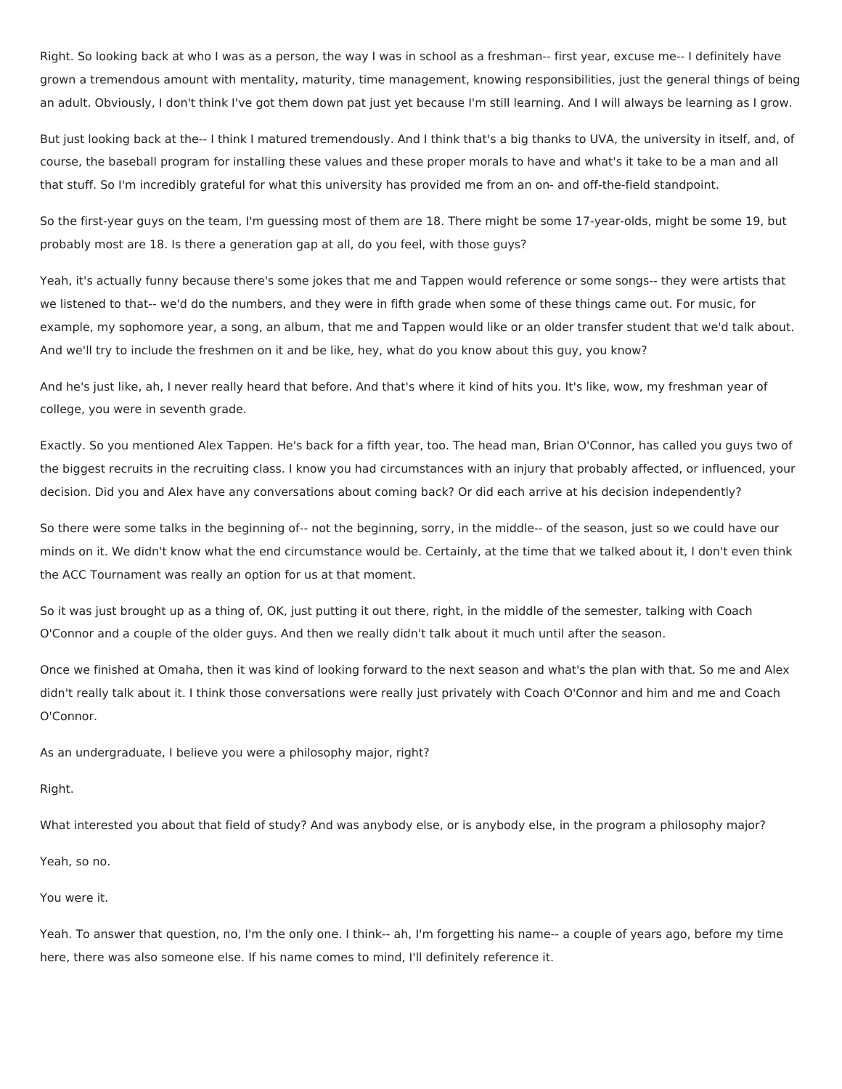Right. So looking back at who I was as a person, the way I was in school as a freshman-- first year, excuse me-- I definitely have grown a tremendous amount with mentality, maturity, time management, knowing responsibilities, just the general things of being an adult. Obviously, I don't think I've got them down pat just yet because I'm still learning. And I will always be learning as I grow.

But just looking back at the-- I think I matured tremendously. And I think that's a big thanks to UVA, the university in itself, and, of course, the baseball program for installing these values and these proper morals to have and what's it take to be a man and all that stuff. So I'm incredibly grateful for what this university has provided me from an on- and off-the-field standpoint.

So the first-year guys on the team, I'm guessing most of them are 18. There might be some 17-year-olds, might be some 19, but probably most are 18. Is there a generation gap at all, do you feel, with those guys?

Yeah, it's actually funny because there's some jokes that me and Tappen would reference or some songs-- they were artists that we listened to that-- we'd do the numbers, and they were in fifth grade when some of these things came out. For music, for example, my sophomore year, a song, an album, that me and Tappen would like or an older transfer student that we'd talk about. And we'll try to include the freshmen on it and be like, hey, what do you know about this guy, you know?

And he's just like, ah, I never really heard that before. And that's where it kind of hits you. It's like, wow, my freshman year of college, you were in seventh grade.

Exactly. So you mentioned Alex Tappen. He's back for a fifth year, too. The head man, Brian O'Connor, has called you guys two of the biggest recruits in the recruiting class. I know you had circumstances with an injury that probably affected, or influenced, your decision. Did you and Alex have any conversations about coming back? Or did each arrive at his decision independently?

So there were some talks in the beginning of-- not the beginning, sorry, in the middle-- of the season, just so we could have our minds on it. We didn't know what the end circumstance would be. Certainly, at the time that we talked about it, I don't even think the ACC Tournament was really an option for us at that moment.

So it was just brought up as a thing of, OK, just putting it out there, right, in the middle of the semester, talking with Coach O'Connor and a couple of the older guys. And then we really didn't talk about it much until after the season.

Once we finished at Omaha, then it was kind of looking forward to the next season and what's the plan with that. So me and Alex didn't really talk about it. I think those conversations were really just privately with Coach O'Connor and him and me and Coach O'Connor.

As an undergraduate, I believe you were a philosophy major, right?

Right.

What interested you about that field of study? And was anybody else, or is anybody else, in the program a philosophy major?

Yeah, so no.

# You were it.

Yeah. To answer that question, no, I'm the only one. I think-- ah, I'm forgetting his name-- a couple of years ago, before my time here, there was also someone else. If his name comes to mind, I'll definitely reference it.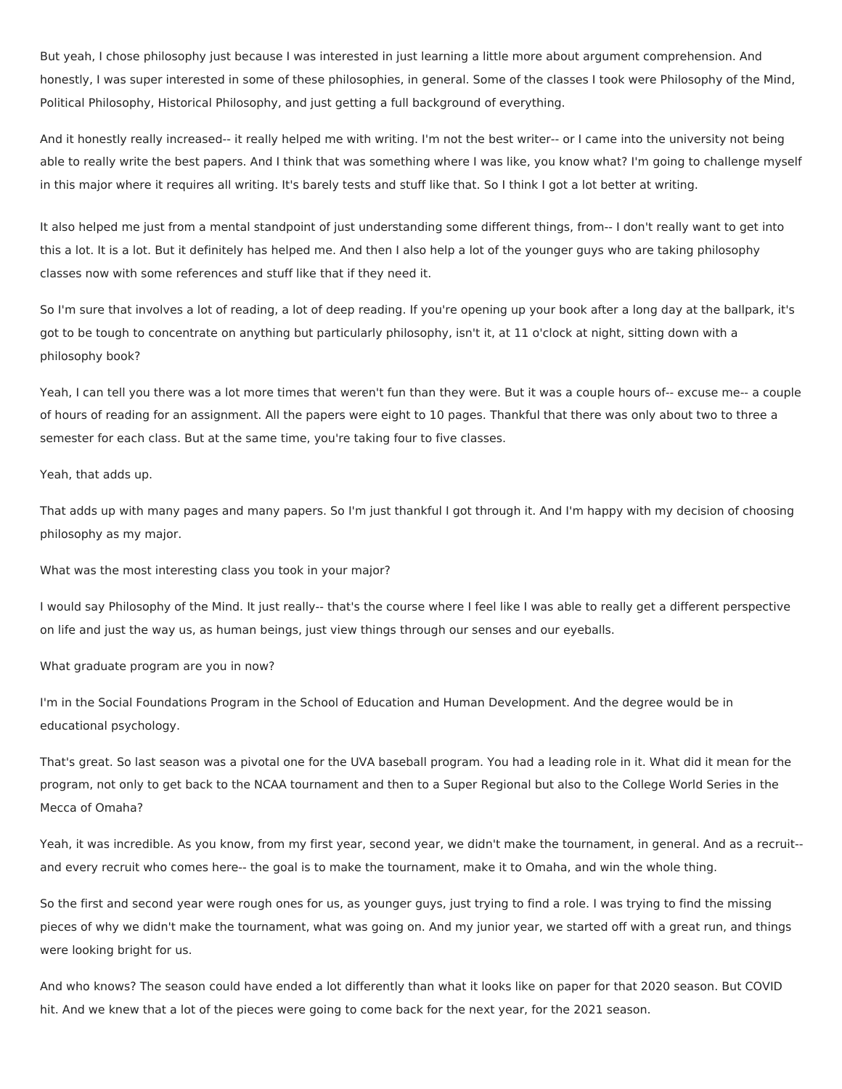But yeah, I chose philosophy just because I was interested in just learning a little more about argument comprehension. And honestly, I was super interested in some of these philosophies, in general. Some of the classes I took were Philosophy of the Mind, Political Philosophy, Historical Philosophy, and just getting a full background of everything.

And it honestly really increased-- it really helped me with writing. I'm not the best writer-- or I came into the university not being able to really write the best papers. And I think that was something where I was like, you know what? I'm going to challenge myself in this major where it requires all writing. It's barely tests and stuff like that. So I think I got a lot better at writing.

It also helped me just from a mental standpoint of just understanding some different things, from-- I don't really want to get into this a lot. It is a lot. But it definitely has helped me. And then I also help a lot of the younger guys who are taking philosophy classes now with some references and stuff like that if they need it.

So I'm sure that involves a lot of reading, a lot of deep reading. If you're opening up your book after a long day at the ballpark, it's got to be tough to concentrate on anything but particularly philosophy, isn't it, at 11 o'clock at night, sitting down with a philosophy book?

Yeah, I can tell you there was a lot more times that weren't fun than they were. But it was a couple hours of-- excuse me-- a couple of hours of reading for an assignment. All the papers were eight to 10 pages. Thankful that there was only about two to three a semester for each class. But at the same time, you're taking four to five classes.

Yeah, that adds up.

That adds up with many pages and many papers. So I'm just thankful I got through it. And I'm happy with my decision of choosing philosophy as my major.

What was the most interesting class you took in your major?

I would say Philosophy of the Mind. It just really-- that's the course where I feel like I was able to really get a different perspective on life and just the way us, as human beings, just view things through our senses and our eyeballs.

What graduate program are you in now?

I'm in the Social Foundations Program in the School of Education and Human Development. And the degree would be in educational psychology.

That's great. So last season was a pivotal one for the UVA baseball program. You had a leading role in it. What did it mean for the program, not only to get back to the NCAA tournament and then to a Super Regional but also to the College World Series in the Mecca of Omaha?

Yeah, it was incredible. As you know, from my first year, second year, we didn't make the tournament, in general. And as a recruit- and every recruit who comes here-- the goal is to make the tournament, make it to Omaha, and win the whole thing.

So the first and second year were rough ones for us, as younger guys, just trying to find a role. I was trying to find the missing pieces of why we didn't make the tournament, what was going on. And my junior year, we started off with a great run, and things were looking bright for us.

And who knows? The season could have ended a lot differently than what it looks like on paper for that 2020 season. But COVID hit. And we knew that a lot of the pieces were going to come back for the next year, for the 2021 season.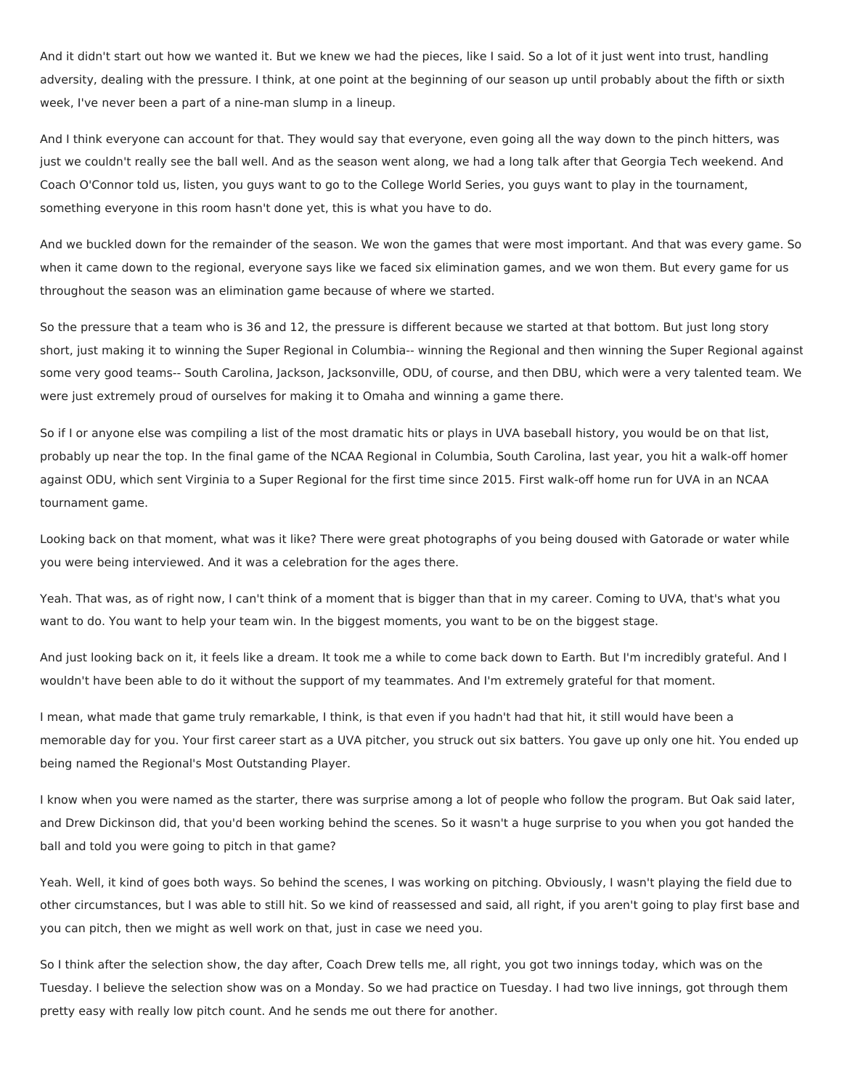And it didn't start out how we wanted it. But we knew we had the pieces, like I said. So a lot of it just went into trust, handling adversity, dealing with the pressure. I think, at one point at the beginning of our season up until probably about the fifth or sixth week, I've never been a part of a nine-man slump in a lineup.

And I think everyone can account for that. They would say that everyone, even going all the way down to the pinch hitters, was just we couldn't really see the ball well. And as the season went along, we had a long talk after that Georgia Tech weekend. And Coach O'Connor told us, listen, you guys want to go to the College World Series, you guys want to play in the tournament, something everyone in this room hasn't done yet, this is what you have to do.

And we buckled down for the remainder of the season. We won the games that were most important. And that was every game. So when it came down to the regional, everyone says like we faced six elimination games, and we won them. But every game for us throughout the season was an elimination game because of where we started.

So the pressure that a team who is 36 and 12, the pressure is different because we started at that bottom. But just long story short, just making it to winning the Super Regional in Columbia-- winning the Regional and then winning the Super Regional against some very good teams-- South Carolina, Jackson, Jacksonville, ODU, of course, and then DBU, which were a very talented team. We were just extremely proud of ourselves for making it to Omaha and winning a game there.

So if I or anyone else was compiling a list of the most dramatic hits or plays in UVA baseball history, you would be on that list, probably up near the top. In the final game of the NCAA Regional in Columbia, South Carolina, last year, you hit a walk-off homer against ODU, which sent Virginia to a Super Regional for the first time since 2015. First walk-off home run for UVA in an NCAA tournament game.

Looking back on that moment, what was it like? There were great photographs of you being doused with Gatorade or water while you were being interviewed. And it was a celebration for the ages there.

Yeah. That was, as of right now, I can't think of a moment that is bigger than that in my career. Coming to UVA, that's what you want to do. You want to help your team win. In the biggest moments, you want to be on the biggest stage.

And just looking back on it, it feels like a dream. It took me a while to come back down to Earth. But I'm incredibly grateful. And I wouldn't have been able to do it without the support of my teammates. And I'm extremely grateful for that moment.

I mean, what made that game truly remarkable, I think, is that even if you hadn't had that hit, it still would have been a memorable day for you. Your first career start as a UVA pitcher, you struck out six batters. You gave up only one hit. You ended up being named the Regional's Most Outstanding Player.

I know when you were named as the starter, there was surprise among a lot of people who follow the program. But Oak said later, and Drew Dickinson did, that you'd been working behind the scenes. So it wasn't a huge surprise to you when you got handed the ball and told you were going to pitch in that game?

Yeah. Well, it kind of goes both ways. So behind the scenes, I was working on pitching. Obviously, I wasn't playing the field due to other circumstances, but I was able to still hit. So we kind of reassessed and said, all right, if you aren't going to play first base and you can pitch, then we might as well work on that, just in case we need you.

So I think after the selection show, the day after, Coach Drew tells me, all right, you got two innings today, which was on the Tuesday. I believe the selection show was on a Monday. So we had practice on Tuesday. I had two live innings, got through them pretty easy with really low pitch count. And he sends me out there for another.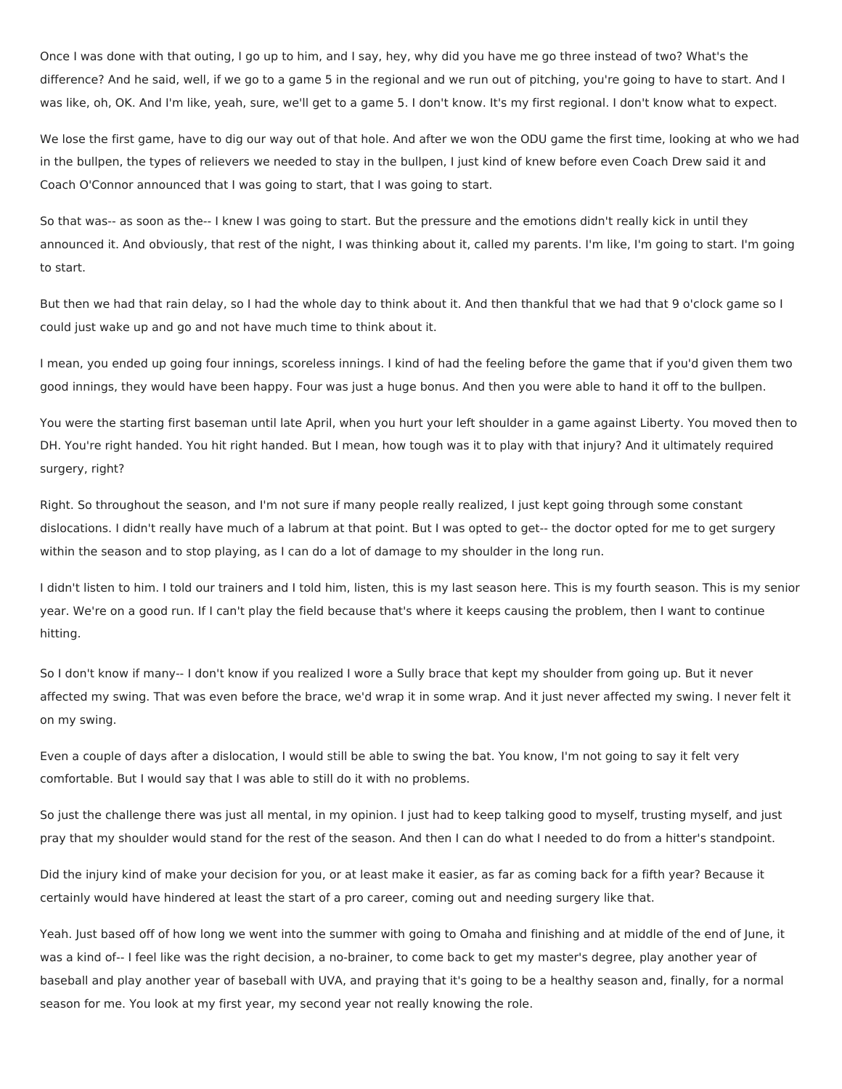Once I was done with that outing, I go up to him, and I say, hey, why did you have me go three instead of two? What's the difference? And he said, well, if we go to a game 5 in the regional and we run out of pitching, you're going to have to start. And I was like, oh, OK. And I'm like, yeah, sure, we'll get to a game 5. I don't know. It's my first regional. I don't know what to expect.

We lose the first game, have to dig our way out of that hole. And after we won the ODU game the first time, looking at who we had in the bullpen, the types of relievers we needed to stay in the bullpen, I just kind of knew before even Coach Drew said it and Coach O'Connor announced that I was going to start, that I was going to start.

So that was-- as soon as the-- I knew I was going to start. But the pressure and the emotions didn't really kick in until they announced it. And obviously, that rest of the night, I was thinking about it, called my parents. I'm like, I'm going to start. I'm going to start.

But then we had that rain delay, so I had the whole day to think about it. And then thankful that we had that 9 o'clock game so I could just wake up and go and not have much time to think about it.

I mean, you ended up going four innings, scoreless innings. I kind of had the feeling before the game that if you'd given them two good innings, they would have been happy. Four was just a huge bonus. And then you were able to hand it off to the bullpen.

You were the starting first baseman until late April, when you hurt your left shoulder in a game against Liberty. You moved then to DH. You're right handed. You hit right handed. But I mean, how tough was it to play with that injury? And it ultimately required surgery, right?

Right. So throughout the season, and I'm not sure if many people really realized, I just kept going through some constant dislocations. I didn't really have much of a labrum at that point. But I was opted to get-- the doctor opted for me to get surgery within the season and to stop playing, as I can do a lot of damage to my shoulder in the long run.

I didn't listen to him. I told our trainers and I told him, listen, this is my last season here. This is my fourth season. This is my senior year. We're on a good run. If I can't play the field because that's where it keeps causing the problem, then I want to continue hitting.

So I don't know if many-- I don't know if you realized I wore a Sully brace that kept my shoulder from going up. But it never affected my swing. That was even before the brace, we'd wrap it in some wrap. And it just never affected my swing. I never felt it on my swing.

Even a couple of days after a dislocation, I would still be able to swing the bat. You know, I'm not going to say it felt very comfortable. But I would say that I was able to still do it with no problems.

So just the challenge there was just all mental, in my opinion. I just had to keep talking good to myself, trusting myself, and just pray that my shoulder would stand for the rest of the season. And then I can do what I needed to do from a hitter's standpoint.

Did the injury kind of make your decision for you, or at least make it easier, as far as coming back for a fifth year? Because it certainly would have hindered at least the start of a pro career, coming out and needing surgery like that.

Yeah. Just based off of how long we went into the summer with going to Omaha and finishing and at middle of the end of June, it was a kind of-- I feel like was the right decision, a no-brainer, to come back to get my master's degree, play another year of baseball and play another year of baseball with UVA, and praying that it's going to be a healthy season and, finally, for a normal season for me. You look at my first year, my second year not really knowing the role.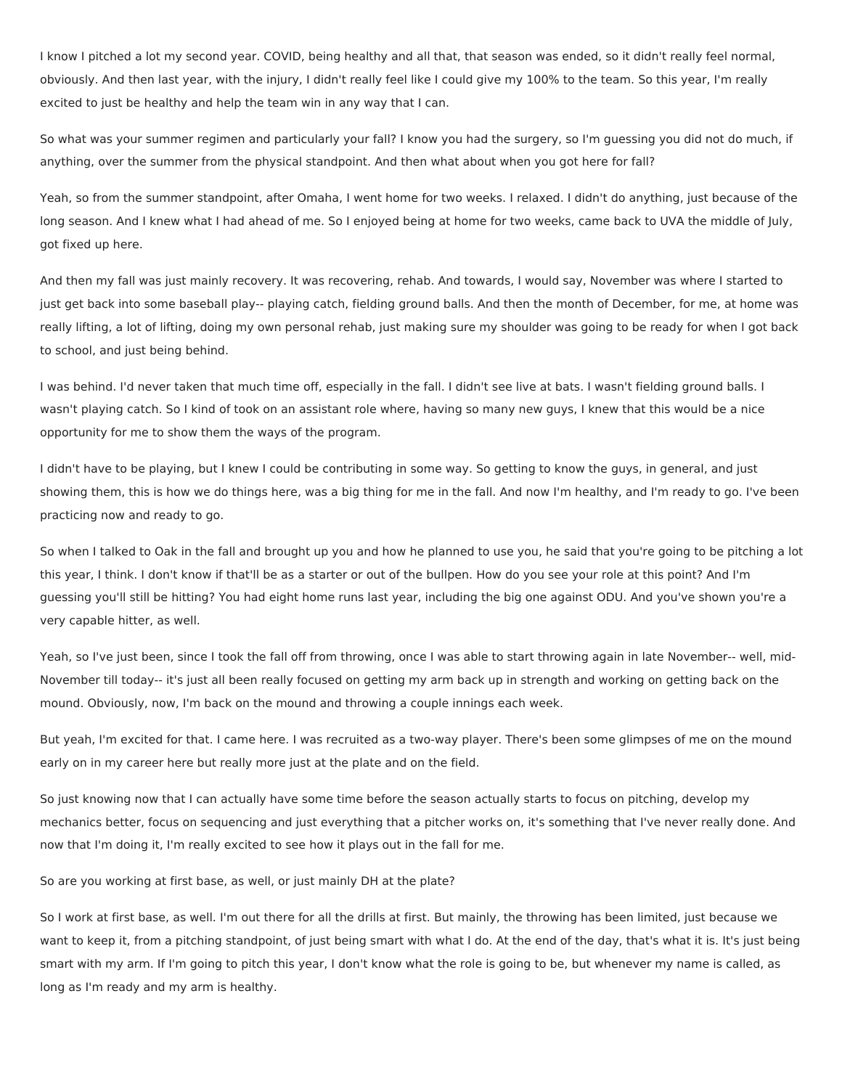I know I pitched a lot my second year. COVID, being healthy and all that, that season was ended, so it didn't really feel normal, obviously. And then last year, with the injury, I didn't really feel like I could give my 100% to the team. So this year, I'm really excited to just be healthy and help the team win in any way that I can.

So what was your summer regimen and particularly your fall? I know you had the surgery, so I'm guessing you did not do much, if anything, over the summer from the physical standpoint. And then what about when you got here for fall?

Yeah, so from the summer standpoint, after Omaha, I went home for two weeks. I relaxed. I didn't do anything, just because of the long season. And I knew what I had ahead of me. So I enjoyed being at home for two weeks, came back to UVA the middle of July, got fixed up here.

And then my fall was just mainly recovery. It was recovering, rehab. And towards, I would say, November was where I started to just get back into some baseball play-- playing catch, fielding ground balls. And then the month of December, for me, at home was really lifting, a lot of lifting, doing my own personal rehab, just making sure my shoulder was going to be ready for when I got back to school, and just being behind.

I was behind. I'd never taken that much time off, especially in the fall. I didn't see live at bats. I wasn't fielding ground balls. I wasn't playing catch. So I kind of took on an assistant role where, having so many new guys, I knew that this would be a nice opportunity for me to show them the ways of the program.

I didn't have to be playing, but I knew I could be contributing in some way. So getting to know the guys, in general, and just showing them, this is how we do things here, was a big thing for me in the fall. And now I'm healthy, and I'm ready to go. I've been practicing now and ready to go.

So when I talked to Oak in the fall and brought up you and how he planned to use you, he said that you're going to be pitching a lot this year, I think. I don't know if that'll be as a starter or out of the bullpen. How do you see your role at this point? And I'm guessing you'll still be hitting? You had eight home runs last year, including the big one against ODU. And you've shown you're a very capable hitter, as well.

Yeah, so I've just been, since I took the fall off from throwing, once I was able to start throwing again in late November-- well, mid-November till today-- it's just all been really focused on getting my arm back up in strength and working on getting back on the mound. Obviously, now, I'm back on the mound and throwing a couple innings each week.

But yeah, I'm excited for that. I came here. I was recruited as a two-way player. There's been some glimpses of me on the mound early on in my career here but really more just at the plate and on the field.

So just knowing now that I can actually have some time before the season actually starts to focus on pitching, develop my mechanics better, focus on sequencing and just everything that a pitcher works on, it's something that I've never really done. And now that I'm doing it, I'm really excited to see how it plays out in the fall for me.

So are you working at first base, as well, or just mainly DH at the plate?

So I work at first base, as well. I'm out there for all the drills at first. But mainly, the throwing has been limited, just because we want to keep it, from a pitching standpoint, of just being smart with what I do. At the end of the day, that's what it is. It's just being smart with my arm. If I'm going to pitch this year, I don't know what the role is going to be, but whenever my name is called, as long as I'm ready and my arm is healthy.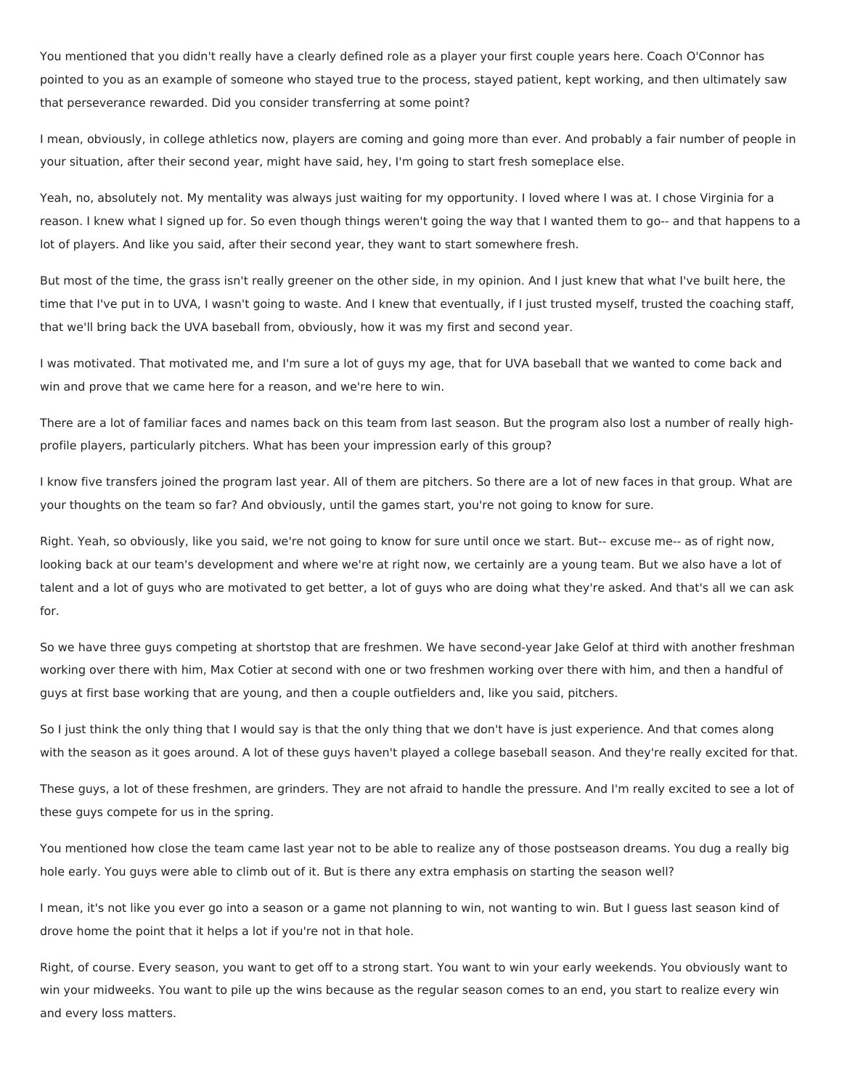You mentioned that you didn't really have a clearly defined role as a player your first couple years here. Coach O'Connor has pointed to you as an example of someone who stayed true to the process, stayed patient, kept working, and then ultimately saw that perseverance rewarded. Did you consider transferring at some point?

I mean, obviously, in college athletics now, players are coming and going more than ever. And probably a fair number of people in your situation, after their second year, might have said, hey, I'm going to start fresh someplace else.

Yeah, no, absolutely not. My mentality was always just waiting for my opportunity. I loved where I was at. I chose Virginia for a reason. I knew what I signed up for. So even though things weren't going the way that I wanted them to go-- and that happens to a lot of players. And like you said, after their second year, they want to start somewhere fresh.

But most of the time, the grass isn't really greener on the other side, in my opinion. And I just knew that what I've built here, the time that I've put in to UVA, I wasn't going to waste. And I knew that eventually, if I just trusted myself, trusted the coaching staff, that we'll bring back the UVA baseball from, obviously, how it was my first and second year.

I was motivated. That motivated me, and I'm sure a lot of guys my age, that for UVA baseball that we wanted to come back and win and prove that we came here for a reason, and we're here to win.

There are a lot of familiar faces and names back on this team from last season. But the program also lost a number of really highprofile players, particularly pitchers. What has been your impression early of this group?

I know five transfers joined the program last year. All of them are pitchers. So there are a lot of new faces in that group. What are your thoughts on the team so far? And obviously, until the games start, you're not going to know for sure.

Right. Yeah, so obviously, like you said, we're not going to know for sure until once we start. But-- excuse me-- as of right now, looking back at our team's development and where we're at right now, we certainly are a young team. But we also have a lot of talent and a lot of guys who are motivated to get better, a lot of guys who are doing what they're asked. And that's all we can ask for.

So we have three guys competing at shortstop that are freshmen. We have second-year Jake Gelof at third with another freshman working over there with him, Max Cotier at second with one or two freshmen working over there with him, and then a handful of guys at first base working that are young, and then a couple outfielders and, like you said, pitchers.

So I just think the only thing that I would say is that the only thing that we don't have is just experience. And that comes along with the season as it goes around. A lot of these guys haven't played a college baseball season. And they're really excited for that.

These guys, a lot of these freshmen, are grinders. They are not afraid to handle the pressure. And I'm really excited to see a lot of these guys compete for us in the spring.

You mentioned how close the team came last year not to be able to realize any of those postseason dreams. You dug a really big hole early. You guys were able to climb out of it. But is there any extra emphasis on starting the season well?

I mean, it's not like you ever go into a season or a game not planning to win, not wanting to win. But I guess last season kind of drove home the point that it helps a lot if you're not in that hole.

Right, of course. Every season, you want to get off to a strong start. You want to win your early weekends. You obviously want to win your midweeks. You want to pile up the wins because as the regular season comes to an end, you start to realize every win and every loss matters.